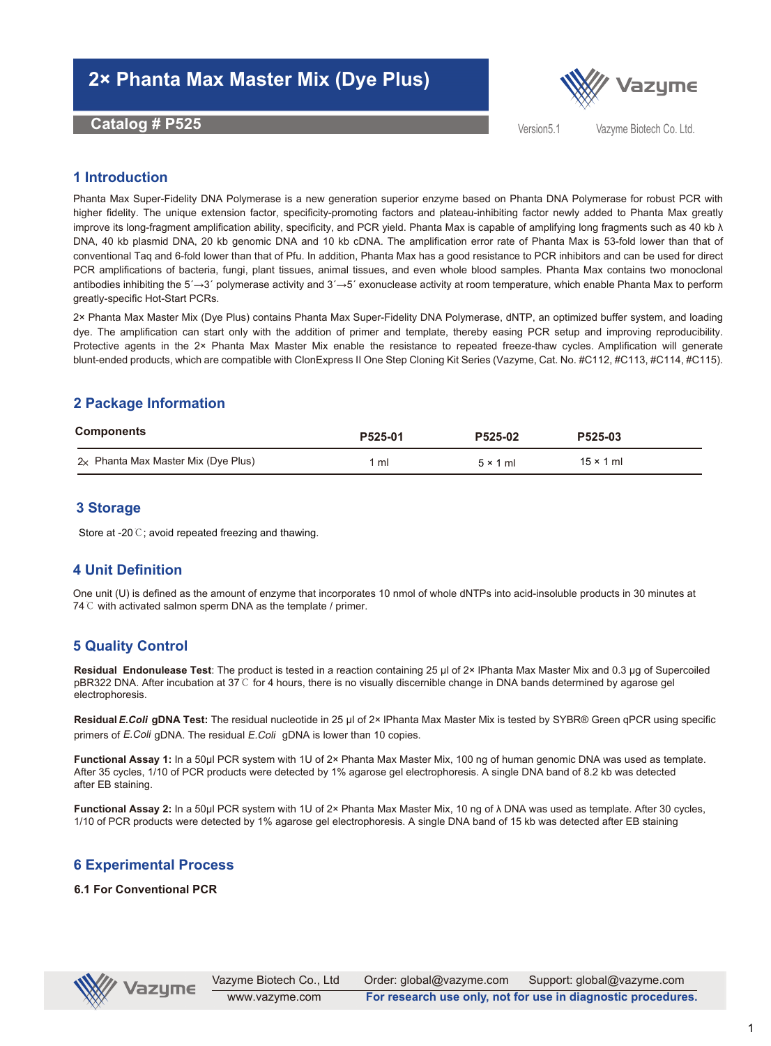# **2× Phanta Max Master Mix (Dye Plus)**

**Catalog # P525** Vazyme Biotech Co. Ltd. Co. Ltd. Co. Ltd. Co. Ltd. Co. Ltd. Co. Ltd. Co. Ltd. Co. Ltd. Co. Ltd.



Version5.1

### **1 Introduction**

Phanta Max Super-Fidelity DNA Polymerase is a new generation superior enzyme based on Phanta DNA Polymerase for robust PCR with higher fidelity. The unique extension factor, specificity-promoting factors and plateau-inhibiting factor newly added to Phanta Max greatly improve its long-fragment amplification ability, specificity, and PCR yield. Phanta Max is capable of amplifying long fragments such as 40 kb λ DNA, 40 kb plasmid DNA, 20 kb genomic DNA and 10 kb cDNA. The amplification error rate of Phanta Max is 53-fold lower than that of conventional Taq and 6-fold lower than that of Pfu. In addition, Phanta Max has a good resistance to PCR inhibitors and can be used for direct PCR amplifications of bacteria, fungi, plant tissues, animal tissues, and even whole blood samples. Phanta Max contains two monoclonal antibodies inhibiting the 5´→3´ polymerase activity and 3´→5´ exonuclease activity at room temperature, which enable Phanta Max to perform greatly-specific Hot-Start PCRs.

2× Phanta Max Master Mix (Dye Plus) contains Phanta Max Super-Fidelity DNA Polymerase, dNTP, an optimized buffer system, and loading dye. The amplification can start only with the addition of primer and template, thereby easing PCR setup and improving reproducibility. Protective agents in the 2× Phanta Max Master Mix enable the resistance to repeated freeze-thaw cycles. Amplification will generate blunt-ended products, which are compatible with ClonExpress II One Step Cloning Kit Series (Vazyme, Cat. No. #C112, #C113, #C114, #C115).

# **2 Package Information**

| Components                            | P525-01 | P525-02         | P525-03          |
|---------------------------------------|---------|-----------------|------------------|
| $2x$ Phanta Max Master Mix (Dye Plus) | 1 ml    | $5 \times 1$ ml | $15 \times 1$ ml |

### **3 Storage**

Store at -20℃; avoid repeated freezing and thawing.

## **4 Unit Definition**

One unit (U) is defined as the amount of enzyme that incorporates 10 nmol of whole dNTPs into acid-insoluble products in 30 minutes at 74 ℃ with activated salmon sperm DNA as the template / primer.

## **5 Quality Control**

**Residual Endonulease Test**: The product is tested in a reaction containing 25 μl of 2× lPhanta Max Master Mix and 0.3 μg of Supercoiled pBR322 DNA. After incubation at 37℃ for 4 hours, there is no visually discernible change in DNA bands determined by agarose gel electrophoresis.

**ResidualE.Coli gDNA Test:** The residual nucleotide in 25 μl of 2× lPhanta Max Master Mix is tested by SYBR® Green qPCR using specific primers of E.Coli gDNA. The residual E.Coli gDNA is lower than 10 copies.

**Functional Assay 1:** In a 50μl PCR system with 1U of 2× Phanta Max Master Mix, 100 ng of human genomic DNA was used as template. After 35 cycles, 1/10 of PCR products were detected by 1% agarose gel electrophoresis. A single DNA band of 8.2 kb was detected after EB staining.

**Functional Assay 2:** In a 50μl PCR system with 1U of 2× Phanta Max Master Mix, 10 ng of λ DNA was used as template. After 30 cycles, 1/10 of PCR products were detected by 1% agarose gel electrophoresis. A single DNA band of 15 kb was detected after EB staining

## **6 Experimental Process**

#### **6.1 For Conventional PCR**

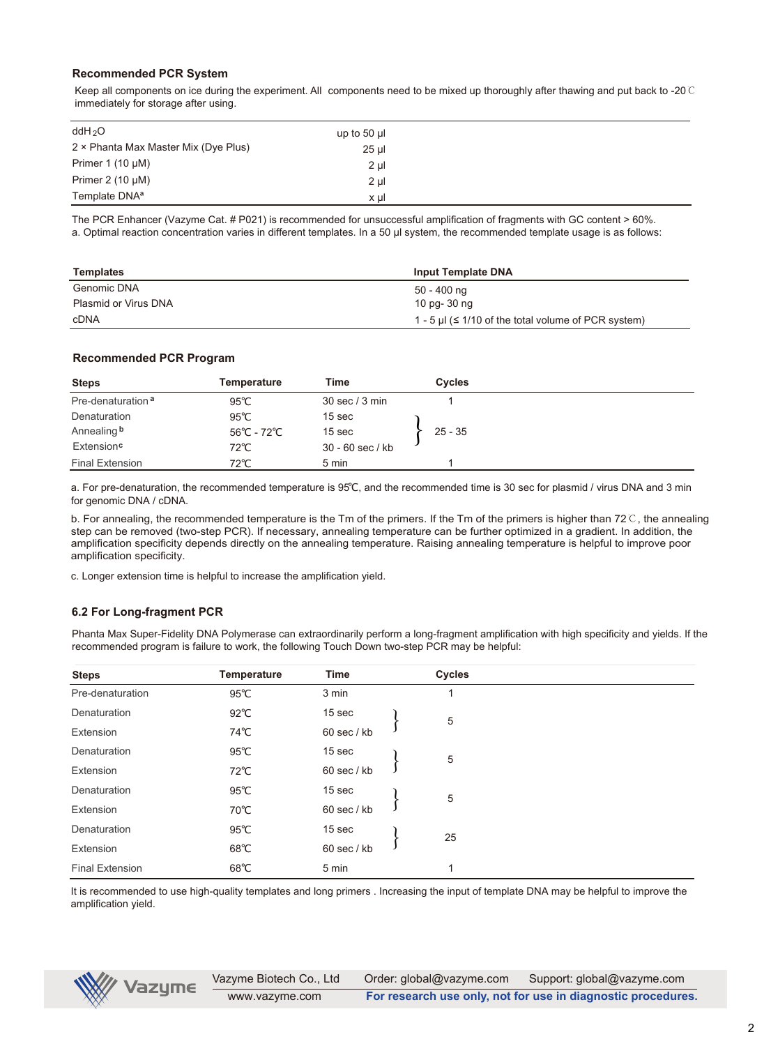#### **Recommended PCR System**

Keep all components on ice during the experiment. All components need to be mixed up thoroughly after thawing and put back to -20℃ immediately for storage after using.

| ddH <sub>2</sub> O                   | up to 50 $\mu$ |  |
|--------------------------------------|----------------|--|
| 2 × Phanta Max Master Mix (Dye Plus) | 25 µl          |  |
| Primer 1 $(10 \mu M)$                | $2 \mu$        |  |
| Primer $2(10 \mu M)$                 | $2 \mu$        |  |
| Template DNA <sup>a</sup>            | x µl           |  |

The PCR Enhancer (Vazyme Cat. # P021) is recommended for unsuccessful amplification of fragments with GC content > 60%. a. Optimal reaction concentration varies in different templates. In a 50 µl system, the recommended template usage is as follows:

| Templates            | <b>Input Template DNA</b>                                 |
|----------------------|-----------------------------------------------------------|
| Genomic DNA          | 50 - 400 ng                                               |
| Plasmid or Virus DNA | 10 pg- 30 ng                                              |
| cDNA                 | 1 - 5 µl ( $\leq$ 1/10 of the total volume of PCR system) |

#### **Recommended PCR Program**

| <b>Steps</b>                  | Temperature    | Time               | Cycles    |  |
|-------------------------------|----------------|--------------------|-----------|--|
| Pre-denaturation <sup>a</sup> | $95^{\circ}$ C | 30 sec / 3 min     |           |  |
| Denaturation                  | $95^{\circ}$ C | 15 sec             |           |  |
| Annealing b                   | 56°C - 72°C    | 15 sec             | $25 - 35$ |  |
| Extension <sup>c</sup>        | $72^{\circ}$ C | $30 - 60$ sec / kb |           |  |
| Final Extension               | $72^{\circ}$ C | 5 min              |           |  |

a. For pre-denaturation, the recommended temperature is 95℃, and the recommended time is 30 sec for plasmid / virus DNA and 3 min for genomic DNA / cDNA.

b. For annealing, the recommended temperature is the Tm of the primers. If the Tm of the primers is higher than 72℃, the annealing step can be removed (two-step PCR). If necessary, annealing temperature can be further optimized in a gradient. In addition, the amplification specificity depends directly on the annealing temperature. Raising annealing temperature is helpful to improve poor amplification specificity.

c. Longer extension time is helpful to increase the amplification yield.

#### **6.2 For Long-fragment PCR**

Phanta Max Super-Fidelity DNA Polymerase can extraordinarily perform a long-fragment amplification with high specificity and yields. If the recommended program is failure to work, the following Touch Down two-step PCR may be helpful:

| <b>Steps</b>           | <b>Temperature</b> | Time        | <b>Cycles</b> |
|------------------------|--------------------|-------------|---------------|
| Pre-denaturation       | $95^{\circ}$ C     | 3 min       |               |
| Denaturation           | $92^{\circ}$ C     | 15 sec      | 5             |
| Extension              | 74℃                | 60 sec / kb |               |
| Denaturation           | $95^{\circ}$ C     | 15 sec      | 5             |
| Extension              | 72℃                | 60 sec / kb |               |
| Denaturation           | $95^{\circ}$ C     | 15 sec      | 5             |
| Extension              | 70℃                | 60 sec / kb |               |
| Denaturation           | $95^{\circ}$ C     | 15 sec      | 25            |
| Extension              | $68^{\circ}$ C     | 60 sec / kb |               |
| <b>Final Extension</b> | $68^{\circ}$ C     | 5 min       | 1             |

It is recommended to use high-quality templates and long primers . Increasing the input of template DNA may be helpful to improve the amplification yield.

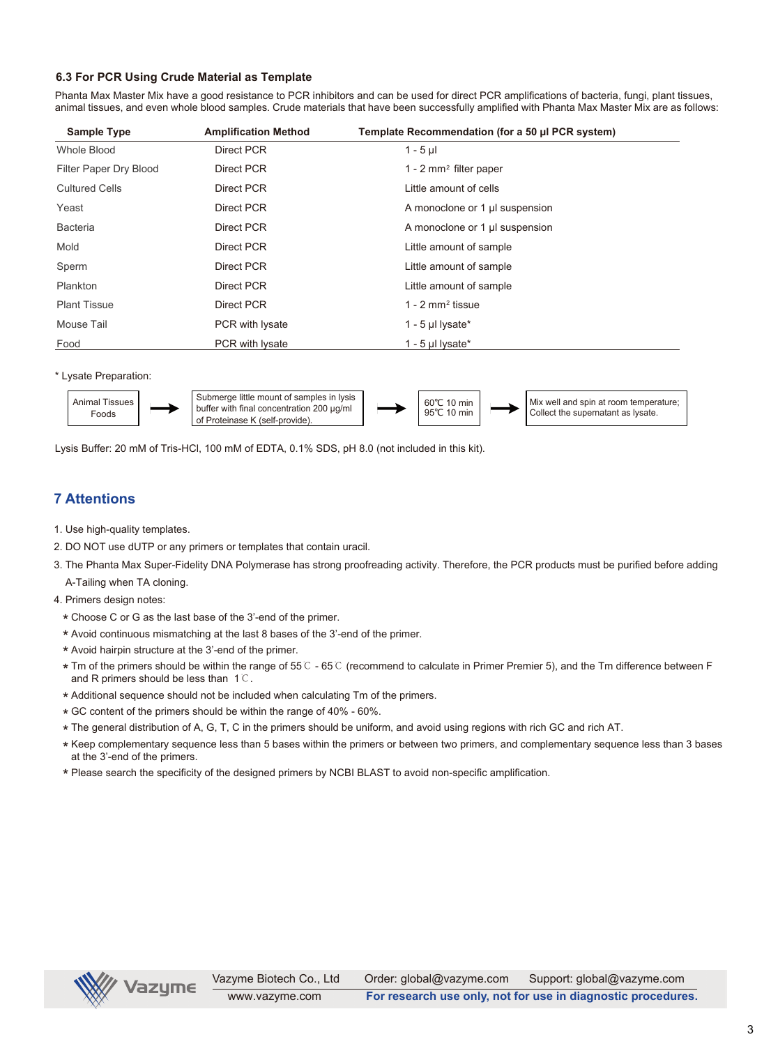#### **6.3 For PCR Using Crude Material as Template**

Phanta Max Master Mix have a good resistance to PCR inhibitors and can be used for direct PCR amplifications of bacteria, fungi, plant tissues, animal tissues, and even whole blood samples. Crude materials that have been successfully amplified with Phanta Max Master Mix are as follows:

| <b>Sample Type</b>     | <b>Amplification Method</b> | Template Recommendation (for a 50 µl PCR system) |
|------------------------|-----------------------------|--------------------------------------------------|
| Whole Blood            | Direct PCR                  | $1 - 5$ µ                                        |
| Filter Paper Dry Blood | Direct PCR                  | $1 - 2$ mm <sup>2</sup> filter paper             |
| <b>Cultured Cells</b>  | Direct PCR                  | Little amount of cells                           |
| Yeast                  | Direct PCR                  | A monoclone or 1 µ suspension                    |
| <b>Bacteria</b>        | Direct PCR                  | A monoclone or 1 µ suspension                    |
| Mold                   | Direct PCR                  | Little amount of sample                          |
| Sperm                  | Direct PCR                  | Little amount of sample                          |
| Plankton               | Direct PCR                  | Little amount of sample                          |
| <b>Plant Tissue</b>    | Direct PCR                  | $1 - 2$ mm <sup>2</sup> tissue                   |
| Mouse Tail             | PCR with lysate             | 1 - 5 µl lysate $*$                              |
| Food                   | PCR with lysate             | 1 - 5 µl lysate*                                 |

\* Lysate Preparation:



Lysis Buffer: 20 mM of Tris-HCl, 100 mM of EDTA, 0.1% SDS, pH 8.0 (not included in this kit).

## **7 Attentions**

- 1. Use high-quality templates.
- 2. DO NOT use dUTP or any primers or templates that contain uracil.
- 3. The Phanta Max Super-Fidelity DNA Polymerase has strong proofreading activity. Therefore, the PCR products must be purified before adding A-Tailing when TA cloning.
- 4. Primers design notes:
	- \* Choose C or G as the last base of the 3'-end of the primer.
	- \* Avoid continuous mismatching at the last 8 bases of the 3'-end of the primer.
	- \* Avoid hairpin structure at the 3'-end of the primer.
	- \* Tm of the primers should be within the range of 55℃ 65℃ (recommend to calculate in Primer Premier 5), and the Tm difference between F<br>and B primers should be less than 1℃ and R primers should be less than 1℃.
	- \* Additional sequence should not be included when calculating Tm of the primers.
	- \* GC content of the primers should be within the range of 40% 60%.
	- \* The general distribution of A, G, T, C in the primers should be uniform, and avoid using regions with rich GC and rich AT.
	- \* Keep complementary sequence less than 5 bases within the primers or between two primers, and complementary sequence less than 3 bases<br>at the 3'-end of the primers at the 3'-end of the primers.
	- \* Please search the specificity of the designed primers by NCBI BLAST to avoid non-specific amplification.